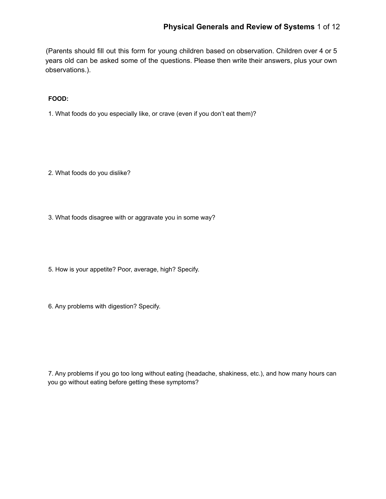(Parents should fill out this form for young children based on observation. Children over 4 or 5 years old can be asked some of the questions. Please then write their answers, plus your own observations.).

**FOOD:**

1. What foods do you especially like, or crave (even if you don't eat them)?

2. What foods do you dislike?

3. What foods disagree with or aggravate you in some way?

5. How is your appetite? Poor, average, high? Specify.

6. Any problems with digestion? Specify.

7. Any problems if you go too long without eating (headache, shakiness, etc.), and how many hours can you go without eating before getting these symptoms?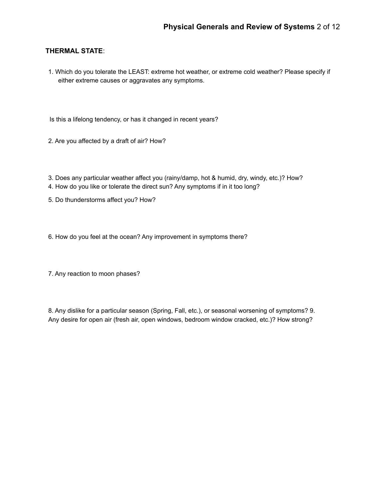## **THERMAL STATE**:

- 1. Which do you tolerate the LEAST: extreme hot weather, or extreme cold weather? Please specify if either extreme causes or aggravates any symptoms.
- Is this a lifelong tendency, or has it changed in recent years?
- 2. Are you affected by a draft of air? How?
- 3. Does any particular weather affect you (rainy/damp, hot & humid, dry, windy, etc.)? How?
- 4. How do you like or tolerate the direct sun? Any symptoms if in it too long?
- 5. Do thunderstorms affect you? How?
- 6. How do you feel at the ocean? Any improvement in symptoms there?
- 7. Any reaction to moon phases?

8. Any dislike for a particular season (Spring, Fall, etc.), or seasonal worsening of symptoms? 9. Any desire for open air (fresh air, open windows, bedroom window cracked, etc.)? How strong?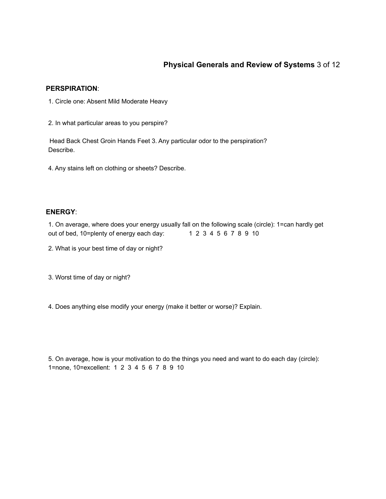# **Physical Generals and Review of Systems** 3 of 12

#### **PERSPIRATION**:

- 1. Circle one: Absent Mild Moderate Heavy
- 2. In what particular areas to you perspire?

Head Back Chest Groin Hands Feet 3. Any particular odor to the perspiration? Describe.

4. Any stains left on clothing or sheets? Describe.

## **ENERGY**:

1. On average, where does your energy usually fall on the following scale (circle): 1=can hardly get out of bed, 10=plenty of energy each day: 1 2 3 4 5 6 7 8 9 10

2. What is your best time of day or night?

3. Worst time of day or night?

4. Does anything else modify your energy (make it better or worse)? Explain.

5. On average, how is your motivation to do the things you need and want to do each day (circle): 1=none, 10=excellent: 1 2 3 4 5 6 7 8 9 10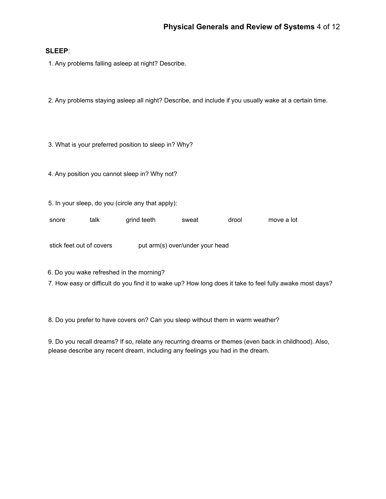## **SLEEP**:

1. Any problems falling asleep at night? Describe.

2. Any problems staying asleep all night? Describe, and include if you usually wake at a certain time.

3. What is your preferred position to sleep in? Why?

4. Any position you cannot sleep in? Why not?

5. In your sleep, do you (circle any that apply):

snore talk grind teeth sweat drool move a lot

stick feet out of covers put arm(s) over/under your head

6. Do you wake refreshed in the morning?

7. How easy or difficult do you find it to wake up? How long does it take to feel fully awake most days?

8. Do you prefer to have covers on? Can you sleep without them in warm weather?

9. Do you recall dreams? If so, relate any recurring dreams or themes (even back in childhood). Also, please describe any recent dream, including any feelings you had in the dream.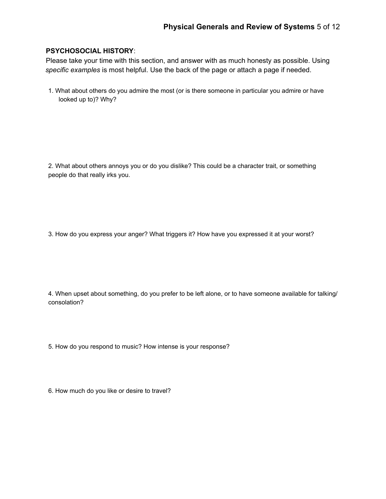## **PSYCHOSOCIAL HISTORY**:

Please take your time with this section, and answer with as much honesty as possible. Using *specific examples* is most helpful. Use the back of the page or attach a page if needed.

1. What about others do you admire the most (or is there someone in particular you admire or have looked up to)? Why?

2. What about others annoys you or do you dislike? This could be a character trait, or something people do that really irks you.

3. How do you express your anger? What triggers it? How have you expressed it at your worst?

4. When upset about something, do you prefer to be left alone, or to have someone available for talking/ consolation?

5. How do you respond to music? How intense is your response?

6. How much do you like or desire to travel?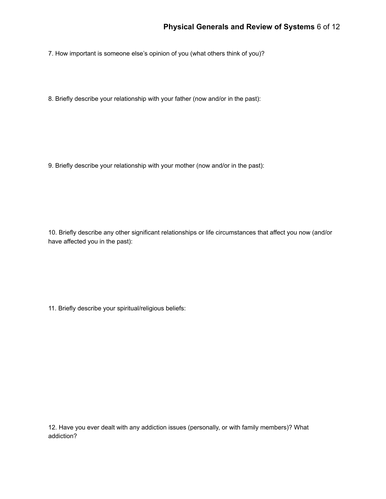7. How important is someone else's opinion of you (what others think of you)?

8. Briefly describe your relationship with your father (now and/or in the past):

9. Briefly describe your relationship with your mother (now and/or in the past):

10. Briefly describe any other significant relationships or life circumstances that affect you now (and/or have affected you in the past):

11. Briefly describe your spiritual/religious beliefs:

12. Have you ever dealt with any addiction issues (personally, or with family members)? What addiction?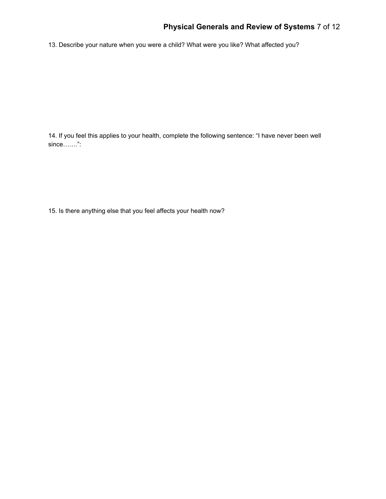# **Physical Generals and Review of Systems** 7 of 12

13. Describe your nature when you were a child? What were you like? What affected you?

14. If you feel this applies to your health, complete the following sentence: "I have never been well since…….":

15. Is there anything else that you feel affects your health now?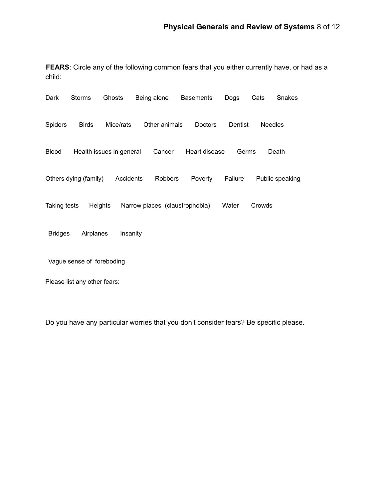**FEARS**: Circle any of the following common fears that you either currently have, or had as a child:

| Dark                         | <b>Storms</b>         | Ghosts                   | Being alone                    | <b>Basements</b> | Dogs    | Cats           | Snakes          |
|------------------------------|-----------------------|--------------------------|--------------------------------|------------------|---------|----------------|-----------------|
| <b>Spiders</b>               | <b>Birds</b>          | Mice/rats                | Other animals                  | Doctors          | Dentist | <b>Needles</b> |                 |
| <b>Blood</b>                 |                       | Health issues in general | Cancer                         | Heart disease    | Germs   |                | Death           |
|                              | Others dying (family) | Accidents                | Robbers                        | Poverty          | Failure |                | Public speaking |
| <b>Taking tests</b>          | <b>Heights</b>        |                          | Narrow places (claustrophobia) |                  | Water   | Crowds         |                 |
| <b>Bridges</b>               | Airplanes             | Insanity                 |                                |                  |         |                |                 |
| Vague sense of foreboding    |                       |                          |                                |                  |         |                |                 |
| Please list any other fears: |                       |                          |                                |                  |         |                |                 |

Do you have any particular worries that you don't consider fears? Be specific please.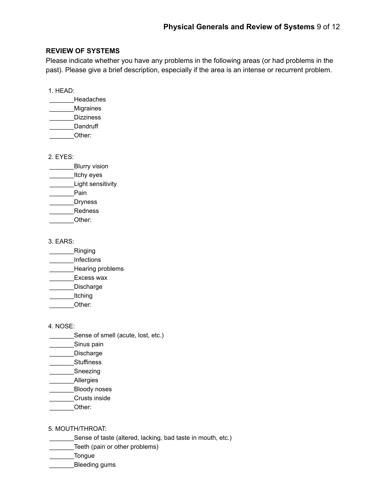## **REVIEW OF SYSTEMS**

Please indicate whether you have any problems in the following areas (or had problems in the past). Please give a brief description, especially if the area is an intense or recurrent problem.

1. HEAD:

- \_\_\_\_\_\_\_Headaches \_\_\_\_\_\_\_Migraines
- Dizziness
- Dandruff Other:

2. EYES:

- \_\_\_\_\_\_\_\_\_\_Blurry vision
- \_\_\_\_\_\_\_Itchy eyes
- Light sensitivity
- \_\_\_\_\_\_\_Pain
- \_\_\_\_\_\_\_Dryness
- \_\_\_\_\_\_\_Redness
- \_\_\_\_\_\_\_Other:

3. EARS:

- Ringing
- \_\_\_\_\_\_\_Infections
- **Example 21**<br>Hearing problems
- Excess wax
- \_\_\_\_\_\_\_Discharge
- \_\_\_\_\_\_\_Itching
- \_\_\_\_\_\_\_Other:

4. NOSE:

- \_\_\_\_\_\_\_\_\_Sense of smell (acute, lost, etc.)
- Sinus pain
- \_\_\_\_\_\_\_Discharge
- \_\_\_\_\_\_\_Stuffiness
- \_\_\_\_\_\_\_Sneezing
- \_\_\_\_\_\_\_Allergies
- \_\_\_\_\_\_\_Bloody noses
- \_\_\_\_\_\_\_Crusts inside
- Other:

5. MOUTH/THROAT:

- \_\_\_\_\_\_\_Sense of taste (altered, lacking, bad taste in mouth, etc.)
- \_\_\_\_\_\_\_Teeth (pain or other problems)
- \_\_\_\_\_\_\_Tongue
- \_\_\_\_\_\_\_Bleeding gums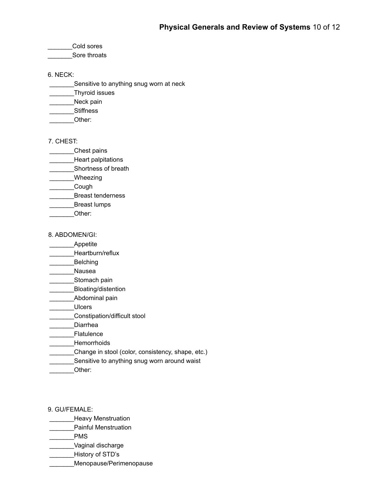\_\_\_\_\_\_\_Cold sores

Sore throats

6. NECK:

\_\_\_\_\_\_\_Sensitive to anything snug worn at neck

\_\_\_\_\_\_\_Thyroid issues

Neck pain

\_\_\_\_\_\_\_Stiffness

\_\_\_\_\_\_\_Other:

7. CHEST:

\_\_\_\_\_\_\_Chest pains

**\_\_\_\_\_\_\_Heart palpitations** 

**\_\_\_\_\_\_\_\_Shortness of breath** 

Wheezing

\_\_\_\_\_\_\_Cough

\_\_\_\_\_\_\_Breast tenderness

\_\_\_\_\_\_\_Breast lumps

\_\_\_\_\_\_\_Other:

8. ABDOMEN/GI:

\_\_\_\_\_\_\_Appetite

Heartburn/reflux

\_\_\_\_\_\_\_Belching

\_\_\_\_\_\_\_Nausea

\_\_\_\_\_\_\_\_Stomach pain

\_\_\_\_\_\_\_Bloating/distention

\_\_\_\_\_Abdominal pain

\_\_\_\_\_\_\_Ulcers

\_\_\_\_\_\_\_Constipation/difficult stool

\_\_\_\_\_\_\_Diarrhea

\_\_\_\_\_\_\_Flatulence

\_\_\_\_\_\_\_Hemorrhoids

\_\_\_\_\_\_\_Change in stool (color, consistency, shape, etc.)

Sensitive to anything snug worn around waist

\_\_\_\_\_\_\_Other:

9. GU/FEMALE:

**Example 20** Heavy Menstruation

\_\_\_\_\_\_\_Painful Menstruation

\_\_\_\_\_\_\_PMS

\_\_\_\_\_\_\_Vaginal discharge

\_\_\_\_\_\_\_History of STD's

\_\_\_\_\_\_\_Menopause/Perimenopause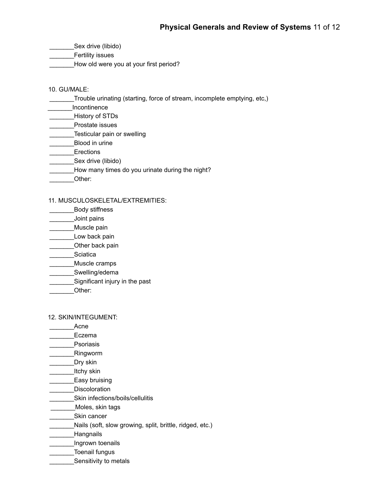\_\_\_\_\_\_\_Sex drive (libido)

\_\_\_\_\_\_\_Fertility issues

\_\_\_\_\_\_\_How old were you at your first period?

### 10. GU/MALE:

\_\_\_\_\_\_\_Trouble urinating (starting, force of stream, incomplete emptying, etc,)

\_\_\_\_\_\_\_Incontinence

\_\_\_\_\_\_\_History of STDs

\_\_\_\_\_\_\_Prostate issues

**Example 25 Testicular pain or swelling** 

\_\_\_\_\_\_\_Blood in urine

\_\_\_\_\_\_\_Erections

Sex drive (libido)

\_\_\_\_\_\_\_How many times do you urinate during the night?

\_\_\_\_\_\_\_Other:

## 11. MUSCULOSKELETAL/EXTREMITIES:

\_\_\_\_\_\_\_Body stiffness

\_\_\_\_\_\_\_Joint pains

- \_\_\_\_\_Muscle pain
- Low back pain
- **Example 2** Other back pain
- \_\_\_\_\_\_\_Sciatica

\_\_\_\_\_\_\_Muscle cramps

\_\_\_\_\_\_\_Swelling/edema

- \_\_\_\_\_\_\_Significant injury in the past
- \_\_\_\_\_\_\_Other:

### 12. SKIN/INTEGUMENT:

\_\_\_\_\_\_\_Acne

Eczema

- **Psoriasis**
- \_\_\_\_\_\_\_Ringworm
- \_\_\_\_\_\_\_Dry skin

Lichy skin

- **Easy bruising**
- \_\_\_\_\_\_\_Discoloration
- \_\_\_\_\_\_\_Skin infections/boils/cellulitis

\_\_\_\_\_\_\_Moles, skin tags

- \_\_\_\_\_\_\_Skin cancer
- \_\_\_\_\_\_\_Nails (soft, slow growing, split, brittle, ridged, etc.)
- \_\_\_\_\_\_\_Hangnails
- **Example 2** Ingrown toenails
- \_\_\_\_\_\_\_Toenail fungus
- **Example 3** Sensitivity to metals